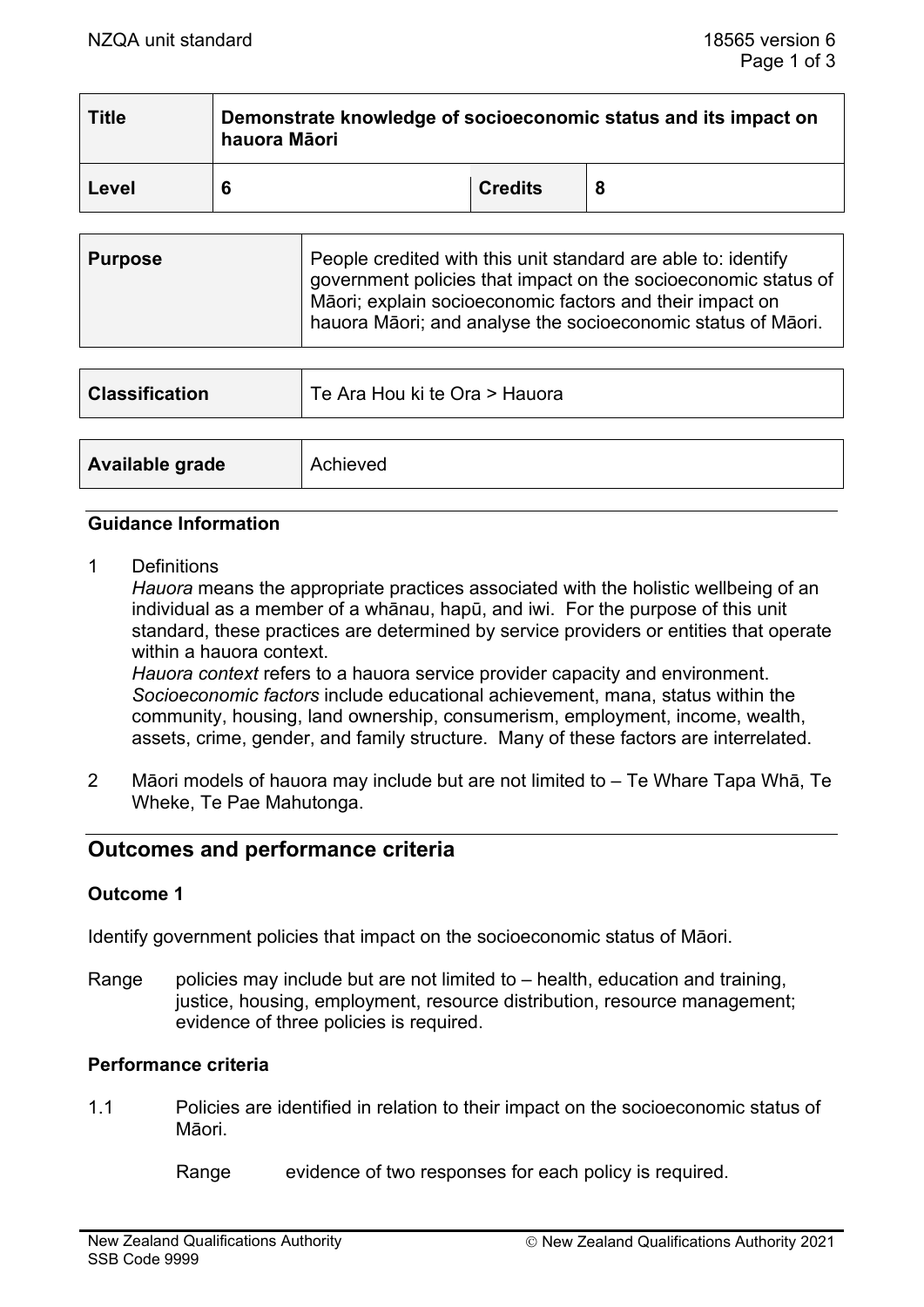| <b>Title</b> | Demonstrate knowledge of socioeconomic status and its impact on<br>hauora Māori |                |  |
|--------------|---------------------------------------------------------------------------------|----------------|--|
| Level        | 6                                                                               | <b>Credits</b> |  |

| <b>Purpose</b> | People credited with this unit standard are able to: identify<br>government policies that impact on the socioeconomic status of<br>Māori; explain socioeconomic factors and their impact on<br>hauora Māori; and analyse the socioeconomic status of Māori. |
|----------------|-------------------------------------------------------------------------------------------------------------------------------------------------------------------------------------------------------------------------------------------------------------|
|                |                                                                                                                                                                                                                                                             |

| <b>Classification</b> | Te Ara Hou ki te Ora > Hauora |
|-----------------------|-------------------------------|
|                       |                               |
| Available grade       | Achieved                      |

#### **Guidance Information**

1 Definitions

*Hauora* means the appropriate practices associated with the holistic wellbeing of an individual as a member of a whānau, hapū, and iwi. For the purpose of this unit standard, these practices are determined by service providers or entities that operate within a hauora context.

*Hauora context* refers to a hauora service provider capacity and environment. *Socioeconomic factors* include educational achievement, mana, status within the community, housing, land ownership, consumerism, employment, income, wealth, assets, crime, gender, and family structure. Many of these factors are interrelated.

2 Māori models of hauora may include but are not limited to – Te Whare Tapa Whā, Te Wheke, Te Pae Mahutonga.

# **Outcomes and performance criteria**

#### **Outcome 1**

Identify government policies that impact on the socioeconomic status of Māori.

Range policies may include but are not limited to  $-$  health, education and training, justice, housing, employment, resource distribution, resource management; evidence of three policies is required.

# **Performance criteria**

1.1 Policies are identified in relation to their impact on the socioeconomic status of Māori.

Range evidence of two responses for each policy is required.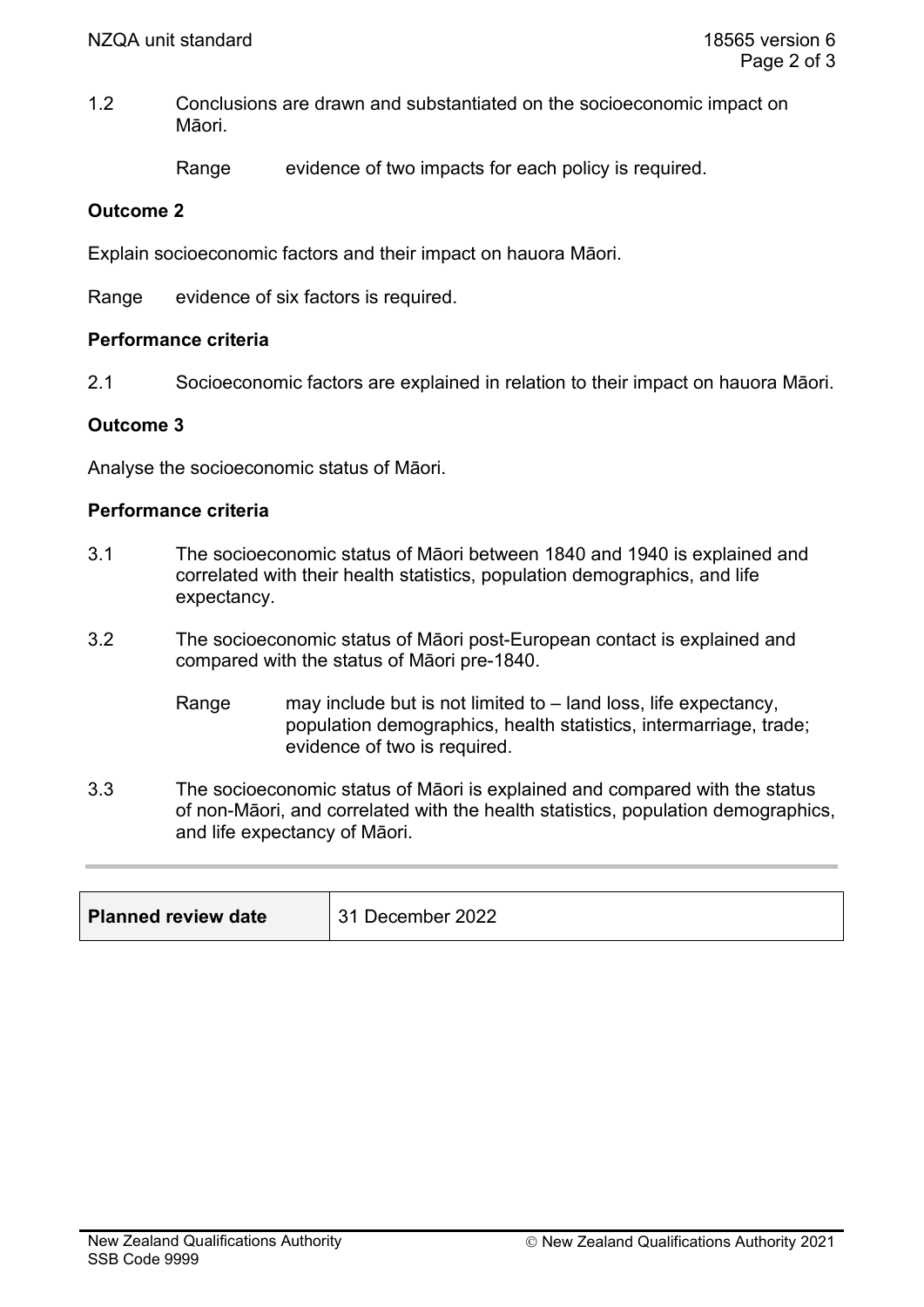1.2 Conclusions are drawn and substantiated on the socioeconomic impact on Māori.

Range evidence of two impacts for each policy is required.

## **Outcome 2**

Explain socioeconomic factors and their impact on hauora Māori.

Range evidence of six factors is required.

#### **Performance criteria**

2.1 Socioeconomic factors are explained in relation to their impact on hauora Māori.

## **Outcome 3**

Analyse the socioeconomic status of Māori.

## **Performance criteria**

- 3.1 The socioeconomic status of Māori between 1840 and 1940 is explained and correlated with their health statistics, population demographics, and life expectancy.
- 3.2 The socioeconomic status of Māori post-European contact is explained and compared with the status of Māori pre-1840.
	- Range may include but is not limited to land loss, life expectancy, population demographics, health statistics, intermarriage, trade; evidence of two is required.
- 3.3 The socioeconomic status of Māori is explained and compared with the status of non-Māori, and correlated with the health statistics, population demographics, and life expectancy of Māori.

| <b>Planned review date</b> | 31 December 2022 |
|----------------------------|------------------|
|----------------------------|------------------|